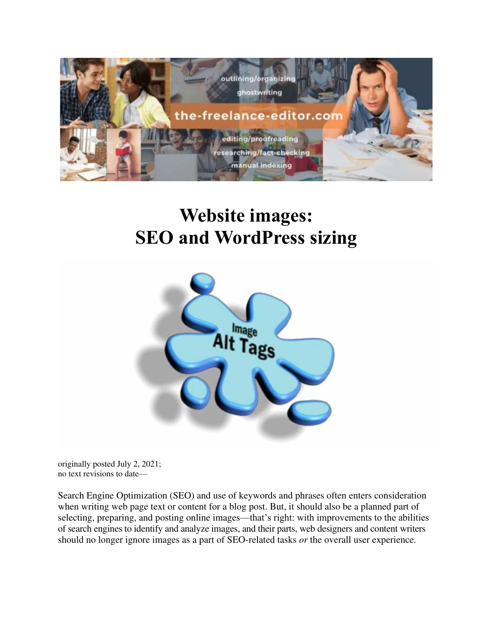

# **Website images: SEO and WordPress sizing**



originally posted July 2, 2021; no text revisions to date—

Search Engine Optimization (SEO) and use of keywords and phrases often enters consideration when writing web page text or content for a blog post. But, it should also be a planned part of selecting, preparing, and posting online images—that's right: with improvements to the abilities of search engines to identify and analyze images, and their parts, web designers and content writers should no longer ignore images as a part of SEO-related tasks *or* the overall user experience.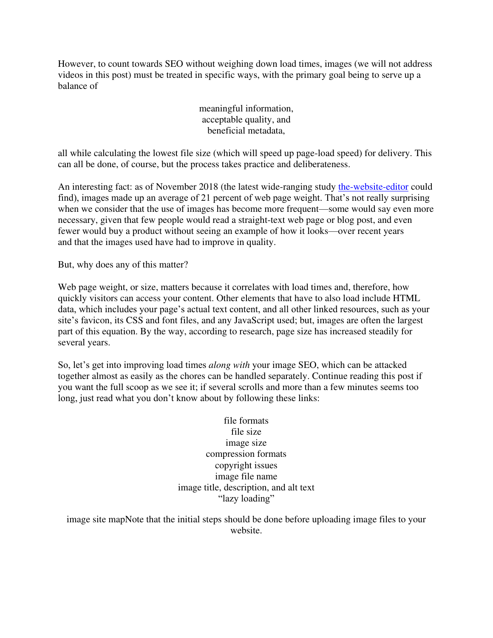However, to count towards SEO without weighing down load times, images (we will not address videos in this post) must be treated in specific ways, with the primary goal being to serve up a balance of

#### meaningful information, acceptable quality, and beneficial metadata,

all while calculating the lowest file size (which will speed up page-load speed) for delivery. This can all be done, of course, but the process takes practice and deliberateness.

An interesting fact: as of November 2018 (the latest wide-ranging study [the-website-editor](https://the-freelance-editor.com/the-website-editor/) could find), images made up an average of 21 percent of web page weight. That's not really surprising when we consider that the use of images has become more frequent—some would say even more necessary, given that few people would read a straight-text web page or blog post, and even fewer would buy a product without seeing an example of how it looks—over recent years and that the images used have had to improve in quality.

But, why does any of this matter?

Web page weight, or size, matters because it correlates with load times and, therefore, how quickly visitors can access your content. Other elements that have to also load include HTML data, which includes your page's actual text content, and all other linked resources, such as your site's favicon, its CSS and font files, and any JavaScript used; but, images are often the largest part of this equation. By the way, according to research, page size has increased steadily for several years.

So, let's get into improving load times *along with* your image SEO, which can be attacked together almost as easily as the chores can be handled separately. Continue reading this post if you want the full scoop as we see it; if several scrolls and more than a few minutes seems too long, just read what you don't know about by following these links:

> file formats file size image size compression formats copyright issues image file name image title, description, and alt text "lazy loading"

image site mapNote that the initial steps should be done before uploading image files to your website.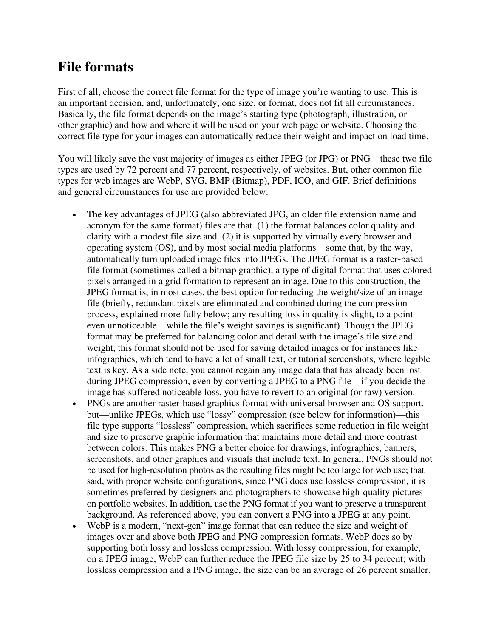#### **File formats**

First of all, choose the correct file format for the type of image you're wanting to use. This is an important decision, and, unfortunately, one size, or format, does not fit all circumstances. Basically, the file format depends on the image's starting type (photograph, illustration, or other graphic) and how and where it will be used on your web page or website. Choosing the correct file type for your images can automatically reduce their weight and impact on load time.

You will likely save the vast majority of images as either JPEG (or JPG) or PNG—these two file types are used by 72 percent and 77 percent, respectively, of websites. But, other common file types for web images are WebP, SVG, BMP (Bitmap), PDF, ICO, and GIF. Brief definitions and general circumstances for use are provided below:

- The key advantages of JPEG (also abbreviated JPG, an older file extension name and acronym for the same format) files are that (1) the format balances color quality and clarity with a modest file size and (2) it is supported by virtually every browser and operating system (OS), and by most social media platforms—some that, by the way, automatically turn uploaded image files into JPEGs. The JPEG format is a raster-based file format (sometimes called a bitmap graphic), a type of digital format that uses colored pixels arranged in a grid formation to represent an image. Due to this construction, the JPEG format is, in most cases, the best option for reducing the weight/size of an image file (briefly, redundant pixels are eliminated and combined during the compression process, explained more fully below; any resulting loss in quality is slight, to a point even unnoticeable—while the file's weight savings is significant). Though the JPEG format may be preferred for balancing color and detail with the image's file size and weight, this format should not be used for saving detailed images or for instances like infographics, which tend to have a lot of small text, or tutorial screenshots, where legible text is key. As a side note, you cannot regain any image data that has already been lost during JPEG compression, even by converting a JPEG to a PNG file—if you decide the image has suffered noticeable loss, you have to revert to an original (or raw) version.
- PNGs are another raster-based graphics format with universal browser and OS support, but—unlike JPEGs, which use "lossy" compression (see below for information)—this file type supports "lossless" compression, which sacrifices some reduction in file weight and size to preserve graphic information that maintains more detail and more contrast between colors. This makes PNG a better choice for drawings, infographics, banners, screenshots, and other graphics and visuals that include text. In general, PNGs should not be used for high-resolution photos as the resulting files might be too large for web use; that said, with proper website configurations, since PNG does use lossless compression, it is sometimes preferred by designers and photographers to showcase high-quality pictures on portfolio websites. In addition, use the PNG format if you want to preserve a transparent background. As referenced above, you can convert a PNG into a JPEG at any point.
- WebP is a modern, "next-gen" image format that can reduce the size and weight of images over and above both JPEG and PNG compression formats. WebP does so by supporting both lossy and lossless compression. With lossy compression, for example, on a JPEG image, WebP can further reduce the JPEG file size by 25 to 34 percent; with lossless compression and a PNG image, the size can be an average of 26 percent smaller.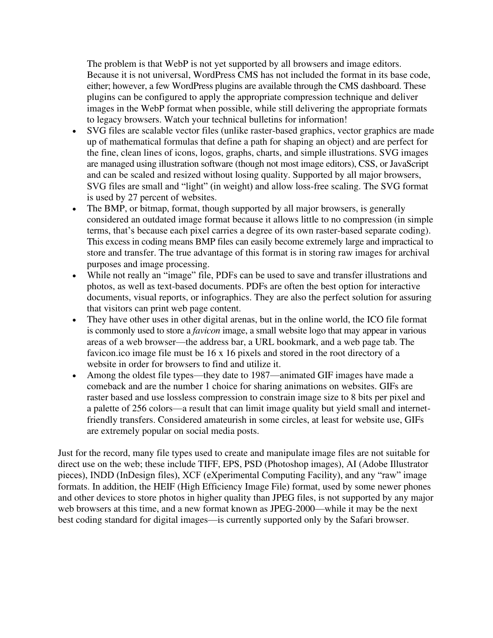The problem is that WebP is not yet supported by all browsers and image editors. Because it is not universal, WordPress CMS has not included the format in its base code, either; however, a few WordPress plugins are available through the CMS dashboard. These plugins can be configured to apply the appropriate compression technique and deliver images in the WebP format when possible, while still delivering the appropriate formats to legacy browsers. Watch your technical bulletins for information!

- SVG files are scalable vector files (unlike raster-based graphics, vector graphics are made up of mathematical formulas that define a path for shaping an object) and are perfect for the fine, clean lines of icons, logos, graphs, charts, and simple illustrations. SVG images are managed using illustration software (though not most image editors), CSS, or JavaScript and can be scaled and resized without losing quality. Supported by all major browsers, SVG files are small and "light" (in weight) and allow loss-free scaling. The SVG format is used by 27 percent of websites.
- The BMP, or bitmap, format, though supported by all major browsers, is generally considered an outdated image format because it allows little to no compression (in simple terms, that's because each pixel carries a degree of its own raster-based separate coding). This excess in coding means BMP files can easily become extremely large and impractical to store and transfer. The true advantage of this format is in storing raw images for archival purposes and image processing.
- While not really an "image" file, PDFs can be used to save and transfer illustrations and photos, as well as text-based documents. PDFs are often the best option for interactive documents, visual reports, or infographics. They are also the perfect solution for assuring that visitors can print web page content.
- They have other uses in other digital arenas, but in the online world, the ICO file format is commonly used to store a *favicon* image, a small website logo that may appear in various areas of a web browser—the address bar, a URL bookmark, and a web page tab. The favicon.ico image file must be 16 x 16 pixels and stored in the root directory of a website in order for browsers to find and utilize it.
- Among the oldest file types—they date to 1987—animated GIF images have made a comeback and are the number 1 choice for sharing animations on websites. GIFs are raster based and use lossless compression to constrain image size to 8 bits per pixel and a palette of 256 colors—a result that can limit image quality but yield small and internetfriendly transfers. Considered amateurish in some circles, at least for website use, GIFs are extremely popular on social media posts.

Just for the record, many file types used to create and manipulate image files are not suitable for direct use on the web; these include TIFF, EPS, PSD (Photoshop images), AI (Adobe Illustrator pieces), INDD (InDesign files), XCF (eXperimental Computing Facility), and any "raw" image formats. In addition, the HEIF (High Efficiency Image File) format, used by some newer phones and other devices to store photos in higher quality than JPEG files, is not supported by any major web browsers at this time, and a new format known as JPEG-2000—while it may be the next best coding standard for digital images—is currently supported only by the Safari browser.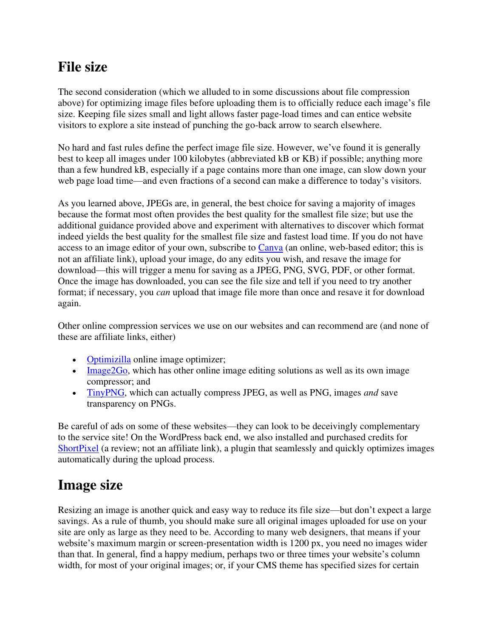## **File size**

The second consideration (which we alluded to in some discussions about file compression above) for optimizing image files before uploading them is to officially reduce each image's file size. Keeping file sizes small and light allows faster page-load times and can entice website visitors to explore a site instead of punching the go-back arrow to search elsewhere.

No hard and fast rules define the perfect image file size. However, we've found it is generally best to keep all images under 100 kilobytes (abbreviated kB or KB) if possible; anything more than a few hundred kB, especially if a page contains more than one image, can slow down your web page load time—and even fractions of a second can make a difference to today's visitors.

As you learned above, JPEGs are, in general, the best choice for saving a majority of images because the format most often provides the best quality for the smallest file size; but use the additional guidance provided above and experiment with alternatives to discover which format indeed yields the best quality for the smallest file size and fastest load time. If you do not have access to an image editor of your own, subscribe to [Canva](https://www.canva.com/) (an online, web-based editor; this is not an affiliate link), upload your image, do any edits you wish, and resave the image for download—this will trigger a menu for saving as a JPEG, PNG, SVG, PDF, or other format. Once the image has downloaded, you can see the file size and tell if you need to try another format; if necessary, you *can* upload that image file more than once and resave it for download again.

Other online compression services we use on our websites and can recommend are (and none of these are affiliate links, either)

- [Optimizilla](https://imagecompressor.com/) online image optimizer;
- [Image2Go,](https://www.img2go.com/compress-image) which has other online image editing solutions as well as its own image compressor; and
- [TinyPNG,](https://tinypng.com/) which can actually compress JPEG, as well as PNG, images *and* save transparency on PNGs.

Be careful of ads on some of these websites—they can look to be deceivingly complementary to the service site! On the WordPress back end, we also installed and purchased credits for [ShortPixel](https://havecamerawilltravel.com/photographer/shortpixel-image-optimization-wordpress/) (a review; not an affiliate link), a plugin that seamlessly and quickly optimizes images automatically during the upload process.

#### **Image size**

Resizing an image is another quick and easy way to reduce its file size—but don't expect a large savings. As a rule of thumb, you should make sure all original images uploaded for use on your site are only as large as they need to be. According to many web designers, that means if your website's maximum margin or screen-presentation width is 1200 px, you need no images wider than that. In general, find a happy medium, perhaps two or three times your website's column width, for most of your original images; or, if your CMS theme has specified sizes for certain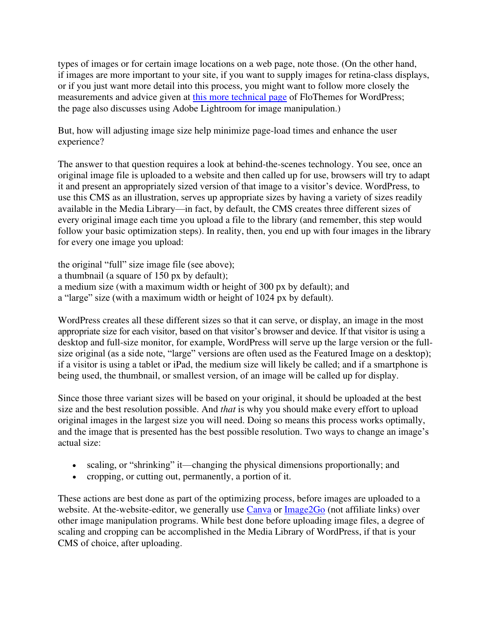types of images or for certain image locations on a web page, note those. (On the other hand, if images are more important to your site, if you want to supply images for retina-class displays, or if you just want more detail into this process, you might want to follow more closely the measurements and advice given at [this more technical page](https://flothemes.com/flothemes-image-sizes/) of FloThemes for WordPress; the page also discusses using Adobe Lightroom for image manipulation.)

But, how will adjusting image size help minimize page-load times and enhance the user experience?

The answer to that question requires a look at behind-the-scenes technology. You see, once an original image file is uploaded to a website and then called up for use, browsers will try to adapt it and present an appropriately sized version of that image to a visitor's device. WordPress, to use this CMS as an illustration, serves up appropriate sizes by having a variety of sizes readily available in the Media Library—in fact, by default, the CMS creates three different sizes of every original image each time you upload a file to the library (and remember, this step would follow your basic optimization steps). In reality, then, you end up with four images in the library for every one image you upload:

the original "full" size image file (see above); a thumbnail (a square of 150 px by default); a medium size (with a maximum width or height of 300 px by default); and a "large" size (with a maximum width or height of 1024 px by default).

WordPress creates all these different sizes so that it can serve, or display, an image in the most appropriate size for each visitor, based on that visitor's browser and device. If that visitor is using a desktop and full-size monitor, for example, WordPress will serve up the large version or the fullsize original (as a side note, "large" versions are often used as the Featured Image on a desktop); if a visitor is using a tablet or iPad, the medium size will likely be called; and if a smartphone is being used, the thumbnail, or smallest version, of an image will be called up for display.

Since those three variant sizes will be based on your original, it should be uploaded at the best size and the best resolution possible. And *that* is why you should make every effort to upload original images in the largest size you will need. Doing so means this process works optimally, and the image that is presented has the best possible resolution. Two ways to change an image's actual size:

- scaling, or "shrinking" it—changing the physical dimensions proportionally; and
- cropping, or cutting out, permanently, a portion of it.

These actions are best done as part of the optimizing process, before images are uploaded to a website. At the-website-editor, we generally use [Canva](https://www.canva.com/) or [Image2Go](https://www.img2go.com/compress-image) (not affiliate links) over other image manipulation programs. While best done before uploading image files, a degree of scaling and cropping can be accomplished in the Media Library of WordPress, if that is your CMS of choice, after uploading.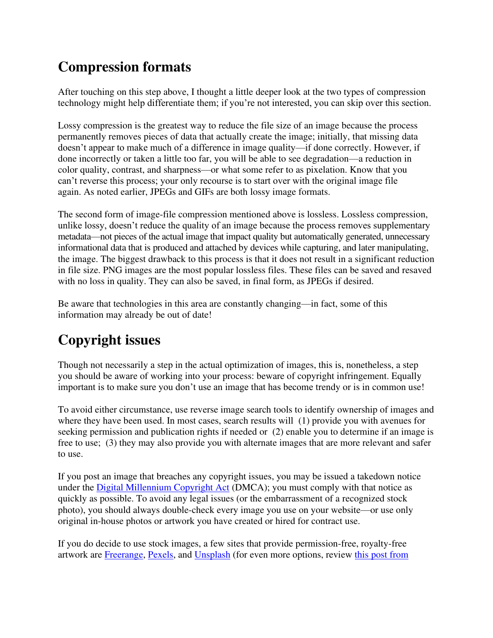## **Compression formats**

After touching on this step above, I thought a little deeper look at the two types of compression technology might help differentiate them; if you're not interested, you can skip over this section.

Lossy compression is the greatest way to reduce the file size of an image because the process permanently removes pieces of data that actually create the image; initially, that missing data doesn't appear to make much of a difference in image quality—if done correctly. However, if done incorrectly or taken a little too far, you will be able to see degradation—a reduction in color quality, contrast, and sharpness—or what some refer to as pixelation. Know that you can't reverse this process; your only recourse is to start over with the original image file again. As noted earlier, JPEGs and GIFs are both lossy image formats.

The second form of image-file compression mentioned above is lossless. Lossless compression, unlike lossy, doesn't reduce the quality of an image because the process removes supplementary metadata—not pieces of the actual image that impact quality but automatically generated, unnecessary informational data that is produced and attached by devices while capturing, and later manipulating, the image. The biggest drawback to this process is that it does not result in a significant reduction in file size. PNG images are the most popular lossless files. These files can be saved and resaved with no loss in quality. They can also be saved, in final form, as JPEGs if desired.

Be aware that technologies in this area are constantly changing—in fact, some of this information may already be out of date!

## **Copyright issues**

Though not necessarily a step in the actual optimization of images, this is, nonetheless, a step you should be aware of working into your process: beware of copyright infringement. Equally important is to make sure you don't use an image that has become trendy or is in common use!

To avoid either circumstance, use reverse image search tools to identify ownership of images and where they have been used. In most cases, search results will (1) provide you with avenues for seeking permission and publication rights if needed or (2) enable you to determine if an image is free to use; (3) they may also provide you with alternate images that are more relevant and safer to use.

If you post an image that breaches any copyright issues, you may be issued a takedown notice under the [Digital Millennium Copyright Act](https://www.copyright.gov/dmca/) (DMCA); you must comply with that notice as quickly as possible. To avoid any legal issues (or the embarrassment of a recognized stock photo), you should always double-check every image you use on your website—or use only original in-house photos or artwork you have created or hired for contract use.

If you do decide to use stock images, a few sites that provide permission-free, royalty-free artwork are [Freerange,](https://freerangestock.com/) [Pexels,](https://www.pexels.com/discover/) and [Unsplash](https://unsplash.com/explore) (for even more options, review [this post from](https://blog.snappa.com/free-stock-photos/)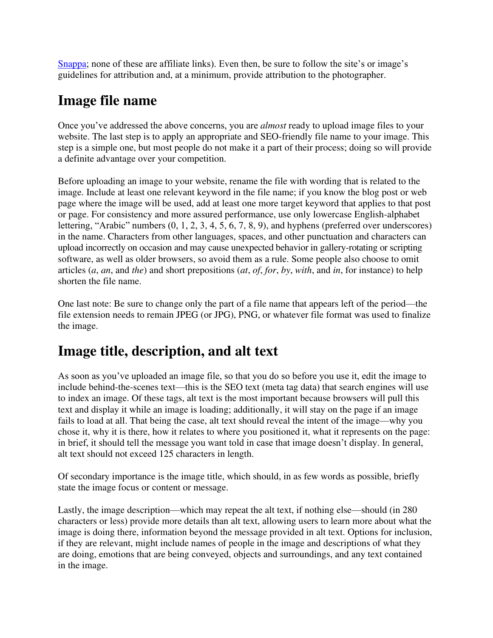[Snappa](https://blog.snappa.com/free-stock-photos/); none of these are affiliate links). Even then, be sure to follow the site's or image's guidelines for attribution and, at a minimum, provide attribution to the photographer.

## **Image file name**

Once you've addressed the above concerns, you are *almost* ready to upload image files to your website. The last step is to apply an appropriate and SEO-friendly file name to your image. This step is a simple one, but most people do not make it a part of their process; doing so will provide a definite advantage over your competition.

Before uploading an image to your website, rename the file with wording that is related to the image. Include at least one relevant keyword in the file name; if you know the blog post or web page where the image will be used, add at least one more target keyword that applies to that post or page. For consistency and more assured performance, use only lowercase English-alphabet lettering, "Arabic" numbers (0, 1, 2, 3, 4, 5, 6, 7, 8, 9), and hyphens (preferred over underscores) in the name. Characters from other languages, spaces, and other punctuation and characters can upload incorrectly on occasion and may cause unexpected behavior in gallery-rotating or scripting software, as well as older browsers, so avoid them as a rule. Some people also choose to omit articles (*a*, *an*, and *the*) and short prepositions (*at*, *of*, *for*, *by*, *with*, and *in*, for instance) to help shorten the file name.

One last note: Be sure to change only the part of a file name that appears left of the period—the file extension needs to remain JPEG (or JPG), PNG, or whatever file format was used to finalize the image.

#### **Image title, description, and alt text**

As soon as you've uploaded an image file, so that you do so before you use it, edit the image to include behind-the-scenes text—this is the SEO text (meta tag data) that search engines will use to index an image. Of these tags, alt text is the most important because browsers will pull this text and display it while an image is loading; additionally, it will stay on the page if an image fails to load at all. That being the case, alt text should reveal the intent of the image—why you chose it, why it is there, how it relates to where you positioned it, what it represents on the page: in brief, it should tell the message you want told in case that image doesn't display. In general, alt text should not exceed 125 characters in length.

Of secondary importance is the image title, which should, in as few words as possible, briefly state the image focus or content or message.

Lastly, the image description—which may repeat the alt text, if nothing else—should (in 280 characters or less) provide more details than alt text, allowing users to learn more about what the image is doing there, information beyond the message provided in alt text. Options for inclusion, if they are relevant, might include names of people in the image and descriptions of what they are doing, emotions that are being conveyed, objects and surroundings, and any text contained in the image.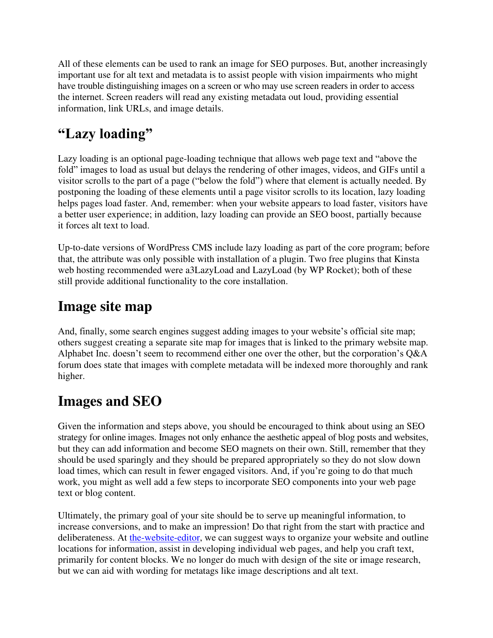All of these elements can be used to rank an image for SEO purposes. But, another increasingly important use for alt text and metadata is to assist people with vision impairments who might have trouble distinguishing images on a screen or who may use screen readers in order to access the internet. Screen readers will read any existing metadata out loud, providing essential information, link URLs, and image details.

## **"Lazy loading"**

Lazy loading is an optional page-loading technique that allows web page text and "above the fold" images to load as usual but delays the rendering of other images, videos, and GIFs until a visitor scrolls to the part of a page ("below the fold") where that element is actually needed. By postponing the loading of these elements until a page visitor scrolls to its location, lazy loading helps pages load faster. And, remember: when your website appears to load faster, visitors have a better user experience; in addition, lazy loading can provide an SEO boost, partially because it forces alt text to load.

Up-to-date versions of WordPress CMS include lazy loading as part of the core program; before that, the attribute was only possible with installation of a plugin. Two free plugins that Kinsta web hosting recommended were a3LazyLoad and LazyLoad (by WP Rocket); both of these still provide additional functionality to the core installation.

## **Image site map**

And, finally, some search engines suggest adding images to your website's official site map; others suggest creating a separate site map for images that is linked to the primary website map. Alphabet Inc. doesn't seem to recommend either one over the other, but the corporation's Q&A forum does state that images with complete metadata will be indexed more thoroughly and rank higher.

## **Images and SEO**

Given the information and steps above, you should be encouraged to think about using an SEO strategy for online images. Images not only enhance the aesthetic appeal of blog posts and websites, but they can add information and become SEO magnets on their own. Still, remember that they should be used sparingly and they should be prepared appropriately so they do not slow down load times, which can result in fewer engaged visitors. And, if you're going to do that much work, you might as well add a few steps to incorporate SEO components into your web page text or blog content.

Ultimately, the primary goal of your site should be to serve up meaningful information, to increase conversions, and to make an impression! Do that right from the start with practice and deliberateness. At [the-website-editor,](https://the-freelance-editor.com/the-website-editor/) we can suggest ways to organize your website and outline locations for information, assist in developing individual web pages, and help you craft text, primarily for content blocks. We no longer do much with design of the site or image research, but we can aid with wording for metatags like image descriptions and alt text.